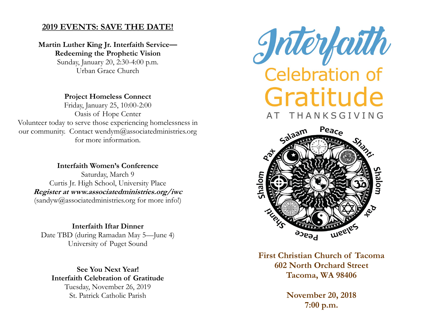# **2019 EVENTS: SAVE THE DATE!**

**Martin Luther King Jr. Interfaith Service— Redeeming the Prophetic Vision** Sunday, January 20, 2:30-4:00 p.m. Urban Grace Church

**Project Homeless Connect** Friday, January 25, 10:00-2:00 Oasis of Hope Center Volunteer today to serve those experiencing homelessness in our community. Contact wendym@associatedministries.org for more information.

**Interfaith Women's Conference** Saturday, March 9 Curtis Jr. High School, University Place **Register at www.associatedministries.org/iwc** (sandyw@associatedministries.org for more info!)

**Interfaith Iftar Dinner** Date TBD (during Ramadan May 5—June 4) University of Puget Sound

**See You Next Year! Interfaith Celebration of Gratitude** Tuesday, November 26, 2019 St. Patrick Catholic Parish





**First Christian Church of Tacoma 602 North Orchard Street Tacoma, WA 98406**

> **November 20, 2018 7:00 p.m.**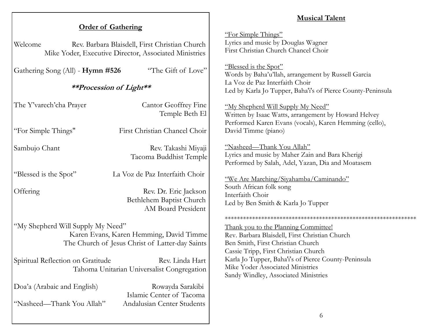# **Musical Talent**

| <b>Order of Gathering</b>                                                                          |                                                                                                         |                                                                                                                                                     |
|----------------------------------------------------------------------------------------------------|---------------------------------------------------------------------------------------------------------|-----------------------------------------------------------------------------------------------------------------------------------------------------|
| Welcome                                                                                            | Rev. Barbara Blaisdell, First Christian Church<br>Mike Yoder, Executive Director, Associated Ministries | "For Simple Things"<br>Lyrics and music by Douglas Wagner<br>First Christian Church Chancel Choir                                                   |
| Gathering Song (All) - Hymn #526                                                                   | "The Gift of Love"                                                                                      | "Blessed is the Spot"<br>Words by Baha'u'llah, arrangement by Russell Garcia                                                                        |
| <b>**Procession of Light**</b>                                                                     |                                                                                                         | La Voz de Paz Interfaith Choir<br>Led by Karla Jo Tupper, Baha'i's of Pierce County-Peninsula                                                       |
| The Y'varech'cha Prayer                                                                            | <b>Cantor Geoffrey Fine</b><br>Temple Beth El                                                           | "My Shepherd Will Supply My Need"<br>Written by Isaac Watts, arrangement by Howard Helvey<br>Performed Karen Evans (vocals), Karen Hemming (cello), |
| "For Simple Things"                                                                                | First Christian Chancel Choir                                                                           | David Timme (piano)                                                                                                                                 |
| Sambujo Chant                                                                                      | Rev. Takashi Miyaji<br>Tacoma Buddhist Temple                                                           | "Nasheed-Thank You Allah"<br>Lyrics and music by Maher Zain and Bara Kherigi<br>Performed by Salah, Adel, Yazan, Dia and Moatasem                   |
| "Blessed is the Spot"                                                                              | La Voz de Paz Interfaith Choir                                                                          | "We Are Marching/Siyahamba/Caminando"                                                                                                               |
| Offering                                                                                           | Rev. Dr. Eric Jackson<br>Bethlehem Baptist Church<br>AM Board President                                 | South African folk song<br>Interfaith Choir<br>Led by Ben Smith & Karla Jo Tupper                                                                   |
|                                                                                                    |                                                                                                         |                                                                                                                                                     |
| "My Shepherd Will Supply My Need"<br>Karen Evans, Karen Hemming, David Timme                       |                                                                                                         | Thank you to the Planning Committee!<br>Rev. Barbara Blaisdell, First Christian Church                                                              |
| The Church of Jesus Christ of Latter-day Saints                                                    |                                                                                                         | Ben Smith, First Christian Church<br>Cassie Tripp, First Christian Church                                                                           |
| Spiritual Reflection on Gratitude<br>Rev. Linda Hart<br>Tahoma Unitarian Universalist Congregation |                                                                                                         | Karla Jo Tupper, Baha'i's of Pierce County-Peninsula<br>Mike Yoder Associated Ministries<br>Sandy Windley, Associated Ministries                    |
| Doa'a (Arabaic and English)                                                                        | Rowayda Sarakibi<br>Islamic Center of Tacoma                                                            |                                                                                                                                                     |
| "Nasheed—Thank You Allah"                                                                          | Andalusian Center Students                                                                              |                                                                                                                                                     |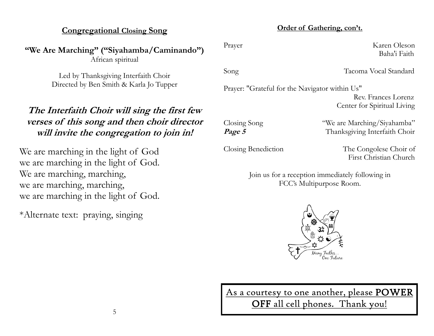## **Congregational Closing Song**

**"We Are Marching" ("Siyahamba/Caminando")** African spiritual

> Led by Thanksgiving Interfaith Choir Directed by Ben Smith & Karla Jo Tupper

# **The Interfaith Choir will sing the first few verses of this song and then choir director will invite the congregation to join in!**

We are marching in the light of God we are marching in the light of God. We are marching, marching, we are marching, marching, we are marching in the light of God.

\*Alternate text: praying, singing

#### **Order of Gathering, con't.**

Prayer Karen Oleson

Song Tacoma Vocal Standard

Prayer: "Grateful for the Navigator within Us" Rev. Frances Lorenz

Closing Song "We are Marching/Siyahamba" **Page 5** Thanksgiving Interfaith Choir

Closing Benediction The Congolese Choir of First Christian Church

Center for Spiritual Living

Baha'i Faith

Join us for a reception immediately following in FCC's Multipurpose Room.



As a courtesy to one another, please POWER

OFF all cell phones. Thank you!

5